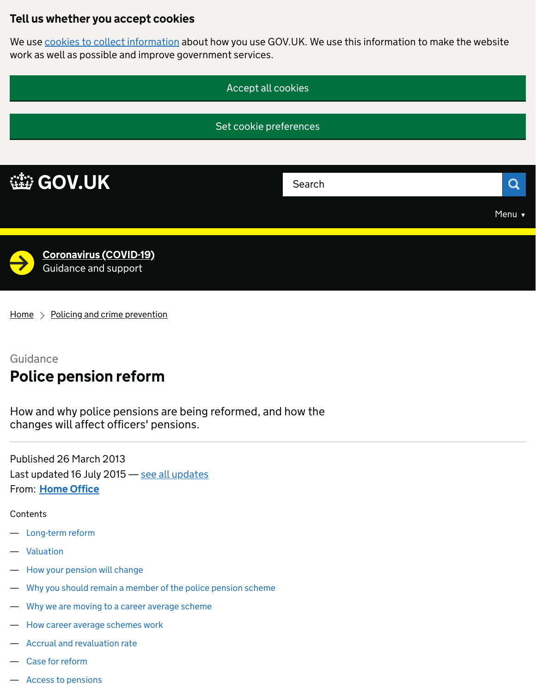## Tell us whether you accept cookies

We use [cookies to collect information](https://www.gov.uk/help/cookies) about how you use GOV.UK. We use this information to make the website work as well as possible and improve government services.



 $Home$  > [Policing and crime prevention](https://www.gov.uk/topic/crime-policing/policing-crime-prevention)

## Guidance

# Police pension reform

How and why police pensions are being reformed, and how the changes will affect officers' pensions.

From: <u>[Home Office](https://www.gov.uk/government/organisations/home-office)</u> Published 26 March 2013 Last updated 16 July 2015 – [see all updates](https://www.gov.uk/guidance/police-pension-reform#history)

#### **Contents**

- [Long-term reform](https://www.gov.uk/guidance/police-pension-reform#long-term-reform)
- [Valuation](https://www.gov.uk/guidance/police-pension-reform#valuation)
- [How your pension will change](https://www.gov.uk/guidance/police-pension-reform#how-your-pension-will-change)
- [Why you should remain a member of the police pension scheme](https://www.gov.uk/guidance/police-pension-reform#why-you-should-remain-a-member-of-the-police-pension-scheme)
- [Why we are moving to a career average scheme](https://www.gov.uk/guidance/police-pension-reform#why-we-are-moving-to-a-career-average-scheme)
- [How career average schemes work](https://www.gov.uk/guidance/police-pension-reform#how-career-average-schemes-work)
- [Accrual and revaluation rate](https://www.gov.uk/guidance/police-pension-reform#accrual-and-revaluation-rate)
- [Case for reform](https://www.gov.uk/guidance/police-pension-reform#case-for-reform)
- [Access to pensions](https://www.gov.uk/guidance/police-pension-reform#access-to-pensions)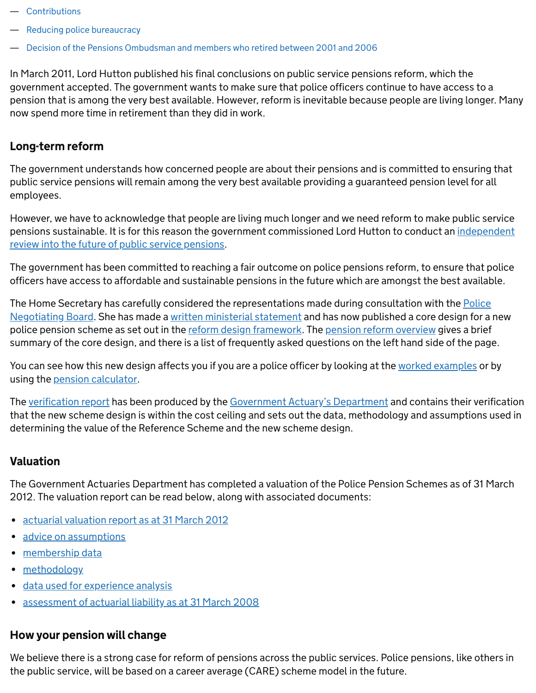- [Contributions](https://www.gov.uk/guidance/police-pension-reform#contributions)
- [Reducing police bureaucracy](https://www.gov.uk/guidance/police-pension-reform#reducing-police-bureaucracy)
- [Decision of the Pensions Ombudsman and members who retired between 2001 and 2006](https://www.gov.uk/guidance/police-pension-reform#decision-of-the-pensions-ombudsman-and-members-who-retired-between-2001-and-2006)

In March 2011, Lord Hutton published his final conclusions on public service pensions reform, which the government accepted. The government wants to make sure that police officers continue to have access to a pension that is among the very best available. However, reform is inevitable because people are living longer. Many now spend more time in retirement than they did in work.

## Long-term reform

The government understands how concerned people are about their pensions and is committed to ensuring that public service pensions will remain among the very best available providing a guaranteed pension level for all employees.

However, we have to acknowledge that people are living much longer and we need reform to make public service [pensions sustainable. It is for this reason the government commissioned Lord Hutton to conduct an independent](https://www.gov.uk/government/publications/independent-public-service-pensions-commission-final-report-by-lord-hutton) review into the future of public service pensions.

The government has been committed to reaching a fair outcome on police pensions reform, to ensure that police officers have access to affordable and sustainable pensions in the future which are amongst the best available.

[The Home Secretary has carefully considered the representations made during consultation with the Police](https://www.gov.uk/government/organisations/police-negotiating-board) Negotiating Board. She has made a [written ministerial statement](https://www.gov.uk/government/speeches/police-pension-scheme) and has now published a core design for a new police pension scheme as set out in the [reform design framework.](https://www.gov.uk/government/publications/police-pension-reform-design-framework) The [pension reform overview](https://www.gov.uk/government/publications/police-pension-reform-overview) gives a brief summary of the core design, and there is a list of frequently asked questions on the left hand side of the page.

You can see how this new design affects you if you are a police officer by looking at the [worked examples](https://www.gov.uk/government/publications/police-pension-reform-worked-examples) or by using the [pension calculator.](https://www.gov.uk/government/publications/pension-reform-calculator)

The <u>[verification report](https://www.gov.uk/government/publications/pension-reform-verification-of-cost-of-new-scheme-design)</u> has been produced by the [Government Actuary's Department](https://www.gov.uk/government/organisations/government-actuary-s-department) and contains their verification that the new scheme design is within the cost ceiling and sets out the data, methodology and assumptions used in determining the value of the Reference Scheme and the new scheme design.

## **Valuation**

The Government Actuaries Department has completed a valuation of the Police Pension Schemes as of 31 March 2012. The valuation report can be read below, along with associated documents:

- [actuarial valuation report as at 31 March 2012](https://www.gov.uk/government/uploads/system/uploads/attachment_data/file/391496/Police_pension_schemes_2012_valuation_report_Final_11_December_2014.pdf)
- [advice on assumptions](https://www.gov.uk/government/uploads/system/uploads/attachment_data/file/391497/Police_-_2012_valuation_-_experience_and_assumptions_Final_11_December_2014.pdf)
- [membership data](https://www.gov.uk/government/uploads/system/uploads/attachment_data/file/391498/Valuation_data_report_Final_11_December_2014.pdf)
- [methodology](https://www.gov.uk/government/uploads/system/uploads/attachment_data/file/391499/Police_valuation_methodology_report_Final_11_December_2014.pdf)
- [data used for experience analysis](https://www.gov.uk/government/uploads/system/uploads/attachment_data/file/391501/Valuation_movement_data_report_HO_Final_11_December_2014.pdf)
- [assessment of actuarial liability as at 31 March 2008](https://www.gov.uk/government/uploads/system/uploads/attachment_data/file/391502/Assessement_of_actuarial_liability_as_at_31_March_2008_-_03.04.14.pdf)

### How your pension will change

We believe there is a strong case for reform of pensions across the public services. Police pensions, like others in the public service, will be based on a career average (CARE) scheme model in the future.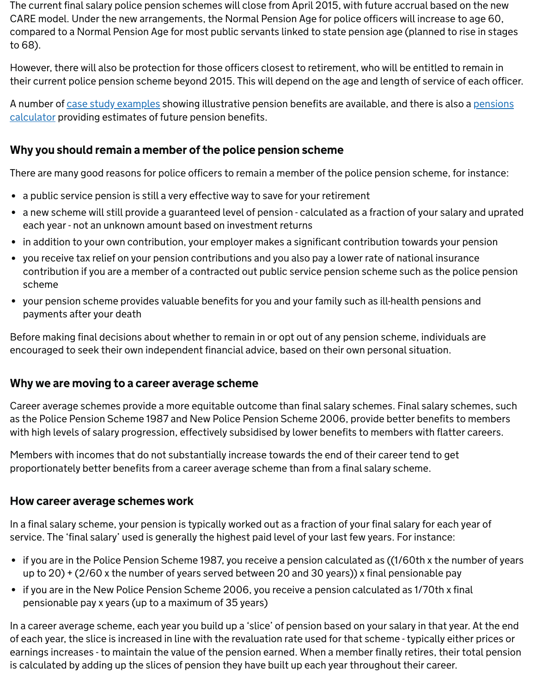The current final salary police pension schemes will close from April 2015, with future accrual based on the new CARE model. Under the new arrangements, the Normal Pension Age for police officers will increase to age 60, compared to a Normal Pension Age for most public servants linked to state pension age (planned to rise in stages to 68).

However, there will also be protection for those officers closest to retirement, who will be entitled to remain in their current police pension scheme beyond 2015. This will depend on the age and length of service of each officer.

[A number of](https://www.gov.uk/government/publications/pension-reform-calculator) [case study example](https://www.gov.uk/government/publications/police-pension-reform-worked-examples)[s showing illustrative pension benefits are available, and there is also a pensions](https://www.gov.uk/government/publications/pension-reform-calculator) calculator providing estimates of future pension benefits.

## Why you should remain a member of the police pension scheme

There are many good reasons for police officers to remain a member of the police pension scheme, for instance:

- a public service pension is still a very effective way to save for your retirement
- a new scheme will still provide a guaranteed level of pension calculated as a fraction of your salary and uprated each year - not an unknown amount based on investment returns
- in addition to your own contribution, your employer makes a significant contribution towards your pension
- you receive tax relief on your pension contributions and you also pay a lower rate of national insurance contribution if you are a member of a contracted out public service pension scheme such as the police pension scheme
- your pension scheme provides valuable benefits for you and your family such as ill-health pensions and payments after your death

Before making final decisions about whether to remain in or opt out of any pension scheme, individuals are encouraged to seek their own independent financial advice, based on their own personal situation.

## Why we are moving to a career average scheme

Career average schemes provide a more equitable outcome than final salary schemes. Final salary schemes, such as the Police Pension Scheme 1987 and New Police Pension Scheme 2006, provide better benefits to members with high levels of salary progression, effectively subsidised by lower benefits to members with flatter careers.

Members with incomes that do not substantially increase towards the end of their career tend to get proportionately better benefits from a career average scheme than from a final salary scheme.

## How career average schemes work

In a final salary scheme, your pension is typically worked out as a fraction of your final salary for each year of service. The 'final salary' used is generally the highest paid level of your last few years. For instance:

- if you are in the Police Pension Scheme 1987, you receive a pension calculated as ((1/60th x the number of years up to 20) + (2/60 x the number of years served between 20 and 30 years)) x final pensionable pay
- if you are in the New Police Pension Scheme 2006, you receive a pension calculated as 1/70th x final pensionable pay x years (up to a maximum of 35 years)

In a career average scheme, each year you build up a 'slice' of pension based on your salary in that year. At the end of each year, the slice is increased in line with the revaluation rate used for that scheme - typically either prices or earnings increases - to maintain the value of the pension earned. When a member finally retires, their total pension is calculated by adding up the slices of pension they have built up each year throughout their career.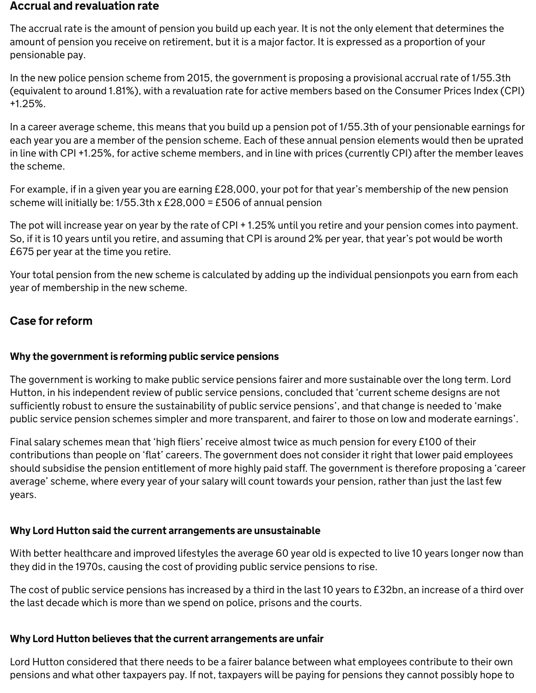#### Accrual and revaluation rate

The accrual rate is the amount of pension you build up each year. It is not the only element that determines the amount of pension you receive on retirement, but it is a major factor. It is expressed as a proportion of your pensionable pay.

In the new police pension scheme from 2015, the government is proposing a provisional accrual rate of 1/55.3th (equivalent to around 1.81%), with a revaluation rate for active members based on the Consumer Prices Index (CPI) +1.25%.

In a career average scheme, this means that you build up a pension pot of 1/55.3th of your pensionable earnings for each year you are a member of the pension scheme. Each of these annual pension elements would then be uprated in line with CPI +1.25%, for active scheme members, and in line with prices (currently CPI) after the member leaves the scheme.

For example, if in a given year you are earning £28,000, your pot for that year's membership of the new pension scheme will initially be: 1/55.3th x £28,000 = £506 of annual pension

The pot will increase year on year by the rate of CPI + 1.25% until you retire and your pension comes into payment. So, if it is 10 years until you retire, and assuming that CPI is around 2% per year, that year's pot would be worth £675 per year at the time you retire.

Your total pension from the new scheme is calculated by adding up the individual pensionpots you earn from each year of membership in the new scheme.

#### Case for reform

### Why the government is reforming public service pensions

The government is working to make public service pensions fairer and more sustainable over the long term. Lord Hutton, in his independent review of public service pensions, concluded that 'current scheme designs are not sufficiently robust to ensure the sustainability of public service pensions', and that change is needed to 'make public service pension schemes simpler and more transparent, and fairer to those on low and moderate earnings'.

Final salary schemes mean that 'high fliers' receive almost twice as much pension for every £100 of their contributions than people on 'flat' careers. The government does not consider it right that lower paid employees should subsidise the pension entitlement of more highly paid staff. The government is therefore proposing a 'career average' scheme, where every year of your salary will count towards your pension, rather than just the last few years.

### Why Lord Hutton said the current arrangements are unsustainable

With better healthcare and improved lifestyles the average 60 year old is expected to live 10 years longer now than they did in the 1970s, causing the cost of providing public service pensions to rise.

The cost of public service pensions has increased by a third in the last 10 years to £32bn, an increase of a third over the last decade which is more than we spend on police, prisons and the courts.

## Why Lord Hutton believes that the current arrangements are unfair

Lord Hutton considered that there needs to be a fairer balance between what employees contribute to their own pensions and what other taxpayers pay. If not, taxpayers will be paying for pensions they cannot possibly hope to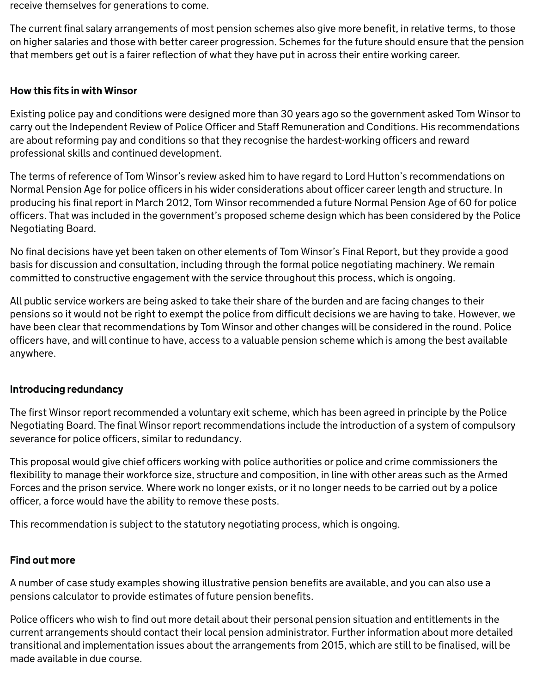receive themselves for generations to come.

The current final salary arrangements of most pension schemes also give more benefit, in relative terms, to those on higher salaries and those with better career progression. Schemes for the future should ensure that the pension that members get out is a fairer reflection of what they have put in across their entire working career.

#### How this fits in with Winsor

Existing police pay and conditions were designed more than 30 years ago so the government asked Tom Winsor to carry out the Independent Review of Police Officer and Staff Remuneration and Conditions. His recommendations are about reforming pay and conditions so that they recognise the hardest-working officers and reward professional skills and continued development.

The terms of reference of Tom Winsor's review asked him to have regard to Lord Hutton's recommendations on Normal Pension Age for police officers in his wider considerations about officer career length and structure. In producing his final report in March 2012, Tom Winsor recommended a future Normal Pension Age of 60 for police officers. That was included in the government's proposed scheme design which has been considered by the Police Negotiating Board.

No final decisions have yet been taken on other elements of Tom Winsor's Final Report, but they provide a good basis for discussion and consultation, including through the formal police negotiating machinery. We remain committed to constructive engagement with the service throughout this process, which is ongoing.

All public service workers are being asked to take their share of the burden and are facing changes to their pensions so it would not be right to exempt the police from difficult decisions we are having to take. However, we have been clear that recommendations by Tom Winsor and other changes will be considered in the round. Police officers have, and will continue to have, access to a valuable pension scheme which is among the best available anywhere.

#### Introducing redundancy

The first Winsor report recommended a voluntary exit scheme, which has been agreed in principle by the Police Negotiating Board. The final Winsor report recommendations include the introduction of a system of compulsory severance for police officers, similar to redundancy.

This proposal would give chief officers working with police authorities or police and crime commissioners the flexibility to manage their workforce size, structure and composition, in line with other areas such as the Armed Forces and the prison service. Where work no longer exists, or it no longer needs to be carried out by a police officer, a force would have the ability to remove these posts.

This recommendation is subject to the statutory negotiating process, which is ongoing.

#### Find out more

A number of case study examples showing illustrative pension benefits are available, and you can also use a pensions calculator to provide estimates of future pension benefits.

Police officers who wish to find out more detail about their personal pension situation and entitlements in the current arrangements should contact their local pension administrator. Further information about more detailed transitional and implementation issues about the arrangements from 2015, which are still to be finalised, will be made available in due course.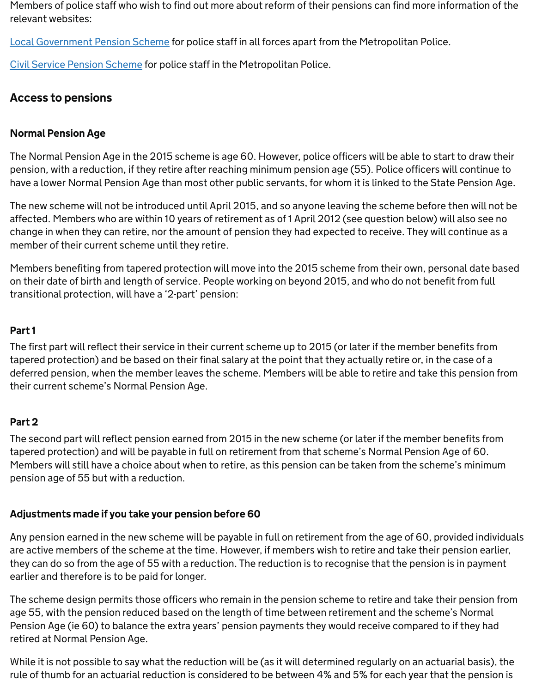Members of police staff who wish to find out more about reform of their pensions can find more information of the relevant websites:

[Local Government Pension Scheme](http://www.lgps.org.uk/) for police staff in all forces apart from the Metropolitan Police.

[Civil Service Pension Scheme](http://www.civilservice.gov.uk/pensions) for police staff in the Metropolitan Police.

## Access to pensions

#### Normal Pension Age

The Normal Pension Age in the 2015 scheme is age 60. However, police officers will be able to start to draw their pension, with a reduction, if they retire after reaching minimum pension age (55). Police officers will continue to have a lower Normal Pension Age than most other public servants, for whom it is linked to the State Pension Age.

The new scheme will not be introduced until April 2015, and so anyone leaving the scheme before then will not be affected. Members who are within 10 years of retirement as of 1 April 2012 (see question below) will also see no change in when they can retire, nor the amount of pension they had expected to receive. They will continue as a member of their current scheme until they retire.

Members benefiting from tapered protection will move into the 2015 scheme from their own, personal date based on their date of birth and length of service. People working on beyond 2015, and who do not benefit from full transitional protection, will have a '2-part' pension:

#### Part 1

The first part will reflect their service in their current scheme up to 2015 (or later if the member benefits from tapered protection) and be based on their final salary at the point that they actually retire or, in the case of a deferred pension, when the member leaves the scheme. Members will be able to retire and take this pension from their current scheme's Normal Pension Age.

#### Part 2

The second part will reflect pension earned from 2015 in the new scheme (or later if the member benefits from tapered protection) and will be payable in full on retirement from that scheme's Normal Pension Age of 60. Members will still have a choice about when to retire, as this pension can be taken from the scheme's minimum pension age of 55 but with a reduction.

#### Adjustments made if you take your pension before 60

Any pension earned in the new scheme will be payable in full on retirement from the age of 60, provided individuals are active members of the scheme at the time. However, if members wish to retire and take their pension earlier, they can do so from the age of 55 with a reduction. The reduction is to recognise that the pension is in payment earlier and therefore is to be paid for longer.

The scheme design permits those officers who remain in the pension scheme to retire and take their pension from age 55, with the pension reduced based on the length of time between retirement and the scheme's Normal Pension Age (ie 60) to balance the extra years' pension payments they would receive compared to if they had retired at Normal Pension Age.

While it is not possible to say what the reduction will be (as it will determined regularly on an actuarial basis), the rule of thumb for an actuarial reduction is considered to be between 4% and 5% for each year that the pension is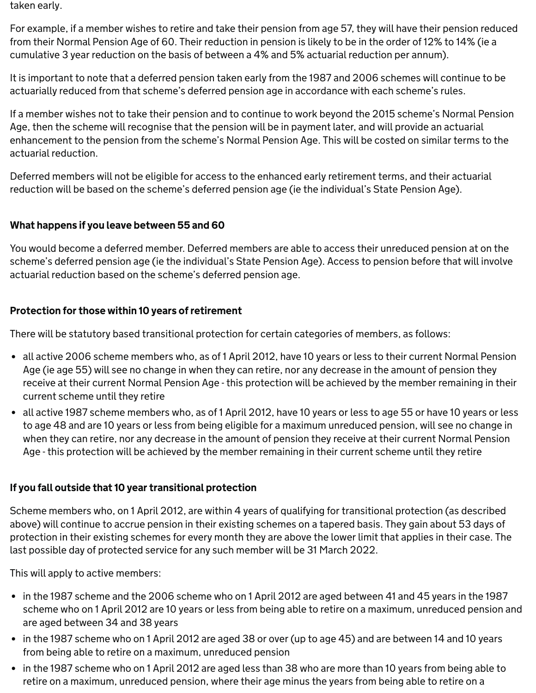taken early.

For example, if a member wishes to retire and take their pension from age 57, they will have their pension reduced from their Normal Pension Age of 60. Their reduction in pension is likely to be in the order of 12% to 14% (ie a cumulative 3 year reduction on the basis of between a 4% and 5% actuarial reduction per annum).

It is important to note that a deferred pension taken early from the 1987 and 2006 schemes will continue to be actuarially reduced from that scheme's deferred pension age in accordance with each scheme's rules.

If a member wishes not to take their pension and to continue to work beyond the 2015 scheme's Normal Pension Age, then the scheme will recognise that the pension will be in payment later, and will provide an actuarial enhancement to the pension from the scheme's Normal Pension Age. This will be costed on similar terms to the actuarial reduction.

Deferred members will not be eligible for access to the enhanced early retirement terms, and their actuarial reduction will be based on the scheme's deferred pension age (ie the individual's State Pension Age).

## What happens if you leave between 55 and 60

You would become a deferred member. Deferred members are able to access their unreduced pension at on the scheme's deferred pension age (ie the individual's State Pension Age). Access to pension before that will involve actuarial reduction based on the scheme's deferred pension age.

## Protection for those within 10 years of retirement

There will be statutory based transitional protection for certain categories of members, as follows:

- all active 2006 scheme members who, as of 1 April 2012, have 10 years or less to their current Normal Pension Age (ie age 55) will see no change in when they can retire, nor any decrease in the amount of pension they receive at their current Normal Pension Age - this protection will be achieved by the member remaining in their current scheme until they retire
- all active 1987 scheme members who, as of 1 April 2012, have 10 years or less to age 55 or have 10 years or less to age 48 and are 10 years or less from being eligible for a maximum unreduced pension, will see no change in when they can retire, nor any decrease in the amount of pension they receive at their current Normal Pension Age - this protection will be achieved by the member remaining in their current scheme until they retire

## If you fall outside that 10 year transitional protection

Scheme members who, on 1 April 2012, are within 4 years of qualifying for transitional protection (as described above) will continue to accrue pension in their existing schemes on a tapered basis. They gain about 53 days of protection in their existing schemes for every month they are above the lower limit that applies in their case. The last possible day of protected service for any such member will be 31 March 2022.

This will apply to active members:

- in the 1987 scheme and the 2006 scheme who on 1 April 2012 are aged between 41 and 45 years in the 1987 scheme who on 1 April 2012 are 10 years or less from being able to retire on a maximum, unreduced pension and are aged between 34 and 38 years
- in the 1987 scheme who on 1 April 2012 are aged 38 or over (up to age 45) and are between 14 and 10 years from being able to retire on a maximum, unreduced pension
- in the 1987 scheme who on 1 April 2012 are aged less than 38 who are more than 10 years from being able to retire on a maximum, unreduced pension, where their age minus the years from being able to retire on a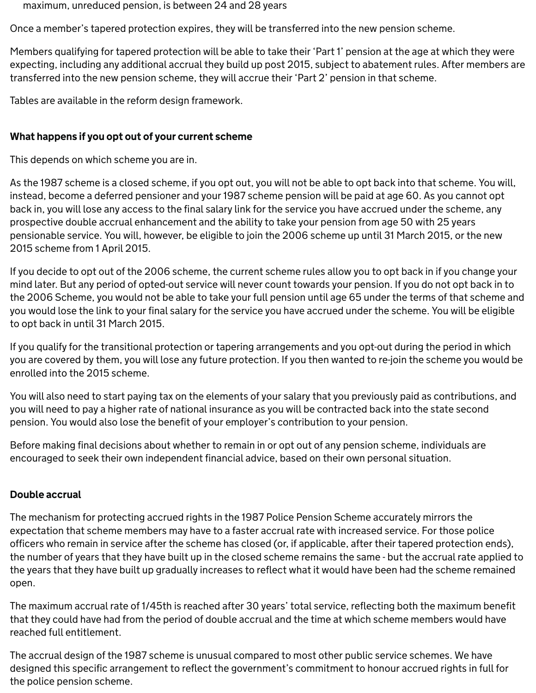maximum, unreduced pension, is between 24 and 28 years

Once a member's tapered protection expires, they will be transferred into the new pension scheme.

Members qualifying for tapered protection will be able to take their 'Part 1' pension at the age at which they were expecting, including any additional accrual they build up post 2015, subject to abatement rules. After members are transferred into the new pension scheme, they will accrue their 'Part 2' pension in that scheme.

Tables are available in the reform design framework.

#### What happens if you opt out of your current scheme

This depends on which scheme you are in.

As the 1987 scheme is a closed scheme, if you opt out, you will not be able to opt back into that scheme. You will, instead, become a deferred pensioner and your 1987 scheme pension will be paid at age 60. As you cannot opt back in, you will lose any access to the final salary link for the service you have accrued under the scheme, any prospective double accrual enhancement and the ability to take your pension from age 50 with 25 years pensionable service. You will, however, be eligible to join the 2006 scheme up until 31 March 2015, or the new 2015 scheme from 1 April 2015.

If you decide to opt out of the 2006 scheme, the current scheme rules allow you to opt back in if you change your mind later. But any period of opted-out service will never count towards your pension. If you do not opt back in to the 2006 Scheme, you would not be able to take your full pension until age 65 under the terms of that scheme and you would lose the link to your final salary for the service you have accrued under the scheme. You will be eligible to opt back in until 31 March 2015.

If you qualify for the transitional protection or tapering arrangements and you opt-out during the period in which you are covered by them, you will lose any future protection. If you then wanted to re-join the scheme you would be enrolled into the 2015 scheme.

You will also need to start paying tax on the elements of your salary that you previously paid as contributions, and you will need to pay a higher rate of national insurance as you will be contracted back into the state second pension. You would also lose the benefit of your employer's contribution to your pension.

Before making final decisions about whether to remain in or opt out of any pension scheme, individuals are encouraged to seek their own independent financial advice, based on their own personal situation.

#### Double accrual

The mechanism for protecting accrued rights in the 1987 Police Pension Scheme accurately mirrors the expectation that scheme members may have to a faster accrual rate with increased service. For those police officers who remain in service after the scheme has closed (or, if applicable, after their tapered protection ends), the number of years that they have built up in the closed scheme remains the same - but the accrual rate applied to the years that they have built up gradually increases to reflect what it would have been had the scheme remained open.

The maximum accrual rate of 1/45th is reached after 30 years' total service, reflecting both the maximum benefit that they could have had from the period of double accrual and the time at which scheme members would have reached full entitlement.

The accrual design of the 1987 scheme is unusual compared to most other public service schemes. We have designed this specific arrangement to reflect the government's commitment to honour accrued rights in full for the police pension scheme.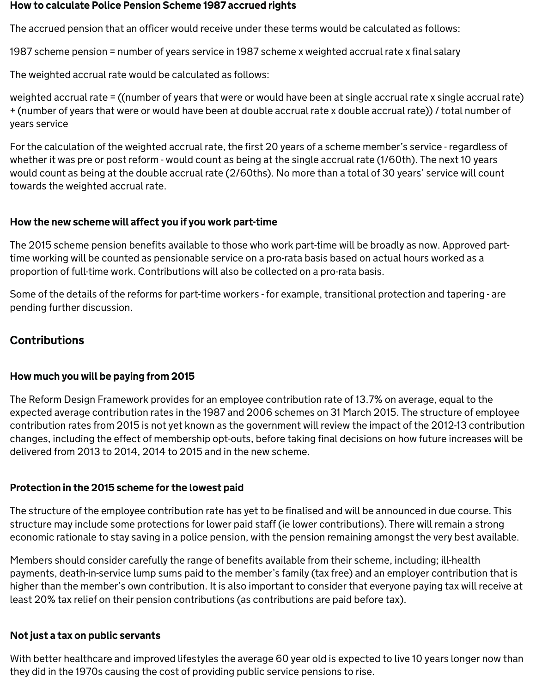#### How to calculate Police Pension Scheme 1987 accrued rights

The accrued pension that an officer would receive under these terms would be calculated as follows:

1987 scheme pension = number of years service in 1987 scheme x weighted accrual rate x final salary

The weighted accrual rate would be calculated as follows:

weighted accrual rate = ((number of years that were or would have been at single accrual rate x single accrual rate) + (number of years that were or would have been at double accrual rate x double accrual rate)) / total number of years service

For the calculation of the weighted accrual rate, the first 20 years of a scheme member's service - regardless of whether it was pre or post reform - would count as being at the single accrual rate (1/60th). The next 10 years would count as being at the double accrual rate (2/60ths). No more than a total of 30 years' service will count towards the weighted accrual rate.

### How the new scheme will affect you if you work part-time

The 2015 scheme pension benefits available to those who work part-time will be broadly as now. Approved parttime working will be counted as pensionable service on a pro-rata basis based on actual hours worked as a proportion of full-time work. Contributions will also be collected on a pro-rata basis.

Some of the details of the reforms for part-time workers - for example, transitional protection and tapering - are pending further discussion.

## Contributions

### How much you will be paying from 2015

The Reform Design Framework provides for an employee contribution rate of 13.7% on average, equal to the expected average contribution rates in the 1987 and 2006 schemes on 31 March 2015. The structure of employee contribution rates from 2015 is not yet known as the government will review the impact of the 2012-13 contribution changes, including the effect of membership opt-outs, before taking final decisions on how future increases will be delivered from 2013 to 2014, 2014 to 2015 and in the new scheme.

## Protection in the 2015 scheme for the lowest paid

The structure of the employee contribution rate has yet to be finalised and will be announced in due course. This structure may include some protections for lower paid staff (ie lower contributions). There will remain a strong economic rationale to stay saving in a police pension, with the pension remaining amongst the very best available.

Members should consider carefully the range of benefits available from their scheme, including; ill-health payments, death-in-service lump sums paid to the member's family (tax free) and an employer contribution that is higher than the member's own contribution. It is also important to consider that everyone paying tax will receive at least 20% tax relief on their pension contributions (as contributions are paid before tax).

### Not just a tax on public servants

With better healthcare and improved lifestyles the average 60 year old is expected to live 10 years longer now than they did in the 1970s causing the cost of providing public service pensions to rise.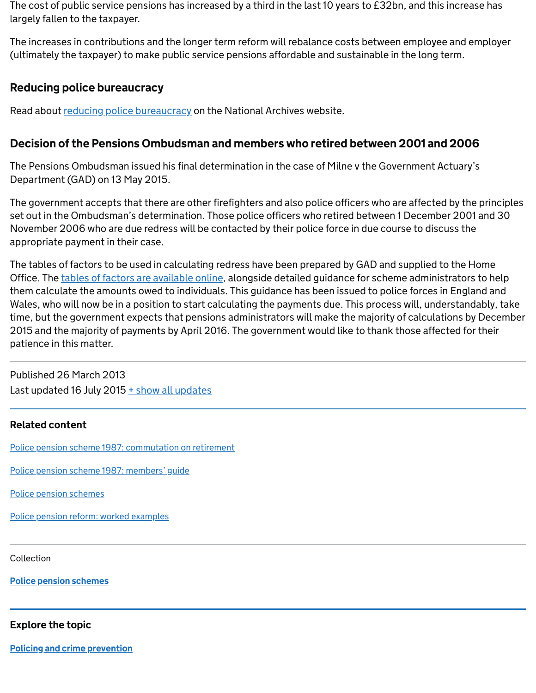The cost of public service pensions has increased by a third in the last 10 years to £32bn, and this increase has largely fallen to the taxpayer.

The increases in contributions and the longer term reform will rebalance costs between employee and employer (ultimately the taxpayer) to make public service pensions affordable and sustainable in the long term.

### Reducing police bureaucracy

Read about [reducing police bureaucracy](http://webarchive.nationalarchives.gov.uk/+/http://www.homeoffice.gov.uk/police/police-reform/reducing-police-bureaucracy/) on the National Archives website.

### Decision of the Pensions Ombudsman and members who retired between 2001 and 2006

The Pensions Ombudsman issued his final determination in the case of Milne v the Government Actuary's Department (GAD) on 13 May 2015.

The government accepts that there are other firefighters and also police officers who are affected by the principles set out in the Ombudsman's determination. Those police officers who retired between 1 December 2001 and 30 November 2006 who are due redress will be contacted by their police force in due course to discuss the appropriate payment in their case.

The tables of factors to be used in calculating redress have been prepared by GAD and supplied to the Home Office. The [tables of factors are available online](https://www.gov.uk/government/publications/government-actuarys-department-additional-payments-in-respect-of-past-commutations), alongside detailed guidance for scheme administrators to help them calculate the amounts owed to individuals. This guidance has been issued to police forces in England and Wales, who will now be in a position to start calculating the payments due. This process will, understandably, take time, but the government expects that pensions administrators will make the majority of calculations by December 2015 and the majority of payments by April 2016. The government would like to thank those affected for their patience in this matter.

Published 26 March 2013 Last updated 16 July 2015 [+ show all updates](https://www.gov.uk/guidance/police-pension-reform#full-history)

#### Related content

[Police pension scheme 1987: commutation on retirement](https://www.gov.uk/government/publications/police-pension-scheme-1987-in-england-and-wales)

[Police pension scheme 1987: members' guide](https://www.gov.uk/government/publications/police-pension-scheme-members-guide-october-2006)

[Police pension schemes](https://www.gov.uk/government/collections/police-pension-schemes)

[Police pension reform: worked examples](https://www.gov.uk/government/publications/police-pension-reform-worked-examples)

Collection

[Police pension schemes](https://www.gov.uk/government/collections/police-pension-schemes)

#### Explore the topic

[Policing and crime prevention](https://www.gov.uk/topic/crime-policing/policing-crime-prevention)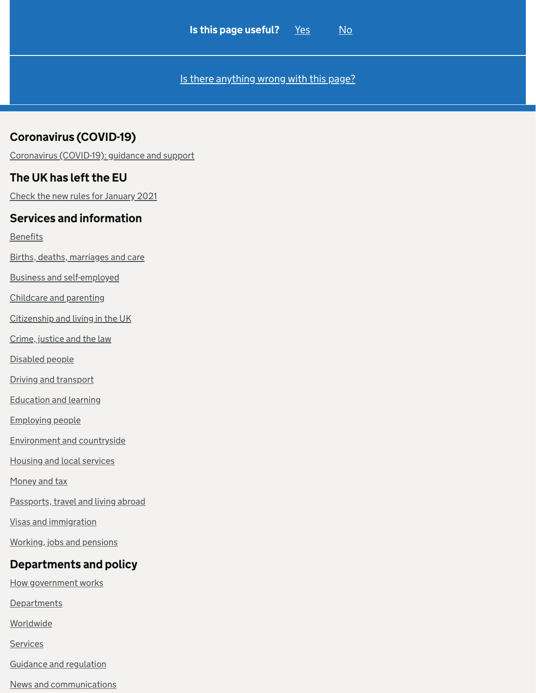[Is there anything wrong with this page?](https://www.gov.uk/contact/govuk)

## Coronavirus (COVID-19)

[Coronavirus \(COVID-19\): guidance and support](https://www.gov.uk/coronavirus)

### The UK has left the EU

[Check the new rules for January 2021](https://www.gov.uk/transition)

#### Services and information

**[Benefits](https://www.gov.uk/browse/benefits)** 

[Births, deaths, marriages and care](https://www.gov.uk/browse/births-deaths-marriages)

[Business and self-employed](https://www.gov.uk/browse/business)

[Childcare and parenting](https://www.gov.uk/browse/childcare-parenting)

[Citizenship and living in the UK](https://www.gov.uk/browse/citizenship)

[Crime, justice and the law](https://www.gov.uk/browse/justice)

[Disabled people](https://www.gov.uk/browse/disabilities)

[Driving and transport](https://www.gov.uk/browse/driving)

[Education and learning](https://www.gov.uk/browse/education)

[Employing people](https://www.gov.uk/browse/employing-people)

[Environment and countryside](https://www.gov.uk/browse/environment-countryside)

[Housing and local services](https://www.gov.uk/browse/housing-local-services)

[Money and tax](https://www.gov.uk/browse/tax)

[Passports, travel and living abroad](https://www.gov.uk/browse/abroad)

[Visas and immigration](https://www.gov.uk/browse/visas-immigration)

[Working, jobs and pensions](https://www.gov.uk/browse/working)

## Departments and policy

[How government works](https://www.gov.uk/government/how-government-works)

**[Departments](https://www.gov.uk/government/organisations)** 

[Worldwide](https://www.gov.uk/world)

**[Services](https://www.gov.uk/search/services)** 

[Guidance and regulation](https://www.gov.uk/search/guidance-and-regulation)

[News and communications](https://www.gov.uk/search/news-and-communications)